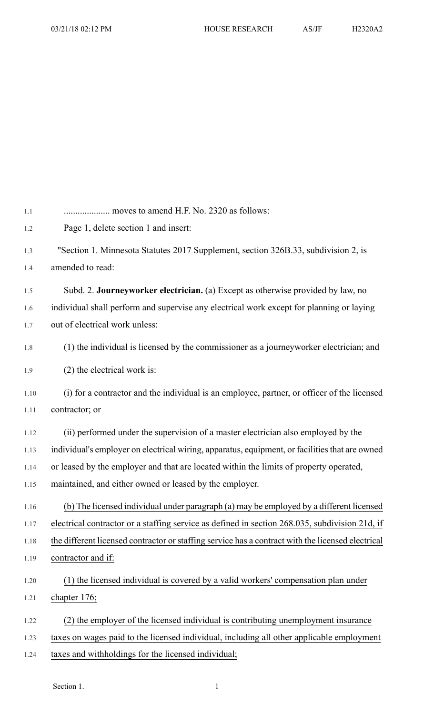| 1.1  |                                                                                                   |
|------|---------------------------------------------------------------------------------------------------|
| 1.2  | Page 1, delete section 1 and insert:                                                              |
| 1.3  | "Section 1. Minnesota Statutes 2017 Supplement, section 326B.33, subdivision 2, is                |
| 1.4  | amended to read:                                                                                  |
| 1.5  | Subd. 2. Journeyworker electrician. (a) Except as otherwise provided by law, no                   |
| 1.6  | individual shall perform and supervise any electrical work except for planning or laying          |
| 1.7  | out of electrical work unless:                                                                    |
| 1.8  | (1) the individual is licensed by the commissioner as a journeyworker electrician; and            |
| 1.9  | $(2)$ the electrical work is:                                                                     |
| 1.10 | (i) for a contractor and the individual is an employee, partner, or officer of the licensed       |
| 1.11 | contractor; or                                                                                    |
| 1.12 | (ii) performed under the supervision of a master electrician also employed by the                 |
| 1.13 | individual's employer on electrical wiring, apparatus, equipment, or facilities that are owned    |
| 1.14 | or leased by the employer and that are located within the limits of property operated,            |
| 1.15 | maintained, and either owned or leased by the employer.                                           |
| 1.16 | (b) The licensed individual under paragraph (a) may be employed by a different licensed           |
| 1.17 | electrical contractor or a staffing service as defined in section 268.035, subdivision 21d, if    |
| 1.18 | the different licensed contractor or staffing service has a contract with the licensed electrical |
| 1.19 | contractor and if:                                                                                |
| 1.20 | (1) the licensed individual is covered by a valid workers' compensation plan under                |
| 1.21 | chapter 176;                                                                                      |
| 1.22 | (2) the employer of the licensed individual is contributing unemployment insurance                |
| 1.23 | taxes on wages paid to the licensed individual, including all other applicable employment         |
| 1.24 | taxes and withholdings for the licensed individual;                                               |